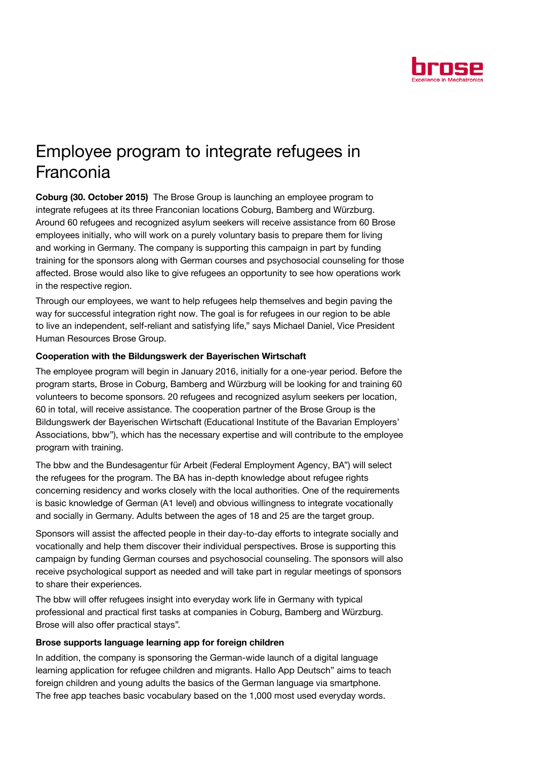

## Employee program to integrate refugees in Franconia

Coburg (30. October 2015) The Brose Group is launching an employee program to integrate refugees at its three Franconian locations Coburg, Bamberg and Würzburg. Around 60 refugees and recognized asylum seekers will receive assistance from 60 Brose employees initially, who will work on a purely voluntary basis to prepare them for living and working in Germany. The company is supporting this campaign in part by funding training for the sponsors along with German courses and psychosocial counseling for those affected. Brose would also like to give refugees an opportunity to see how operations work in the respective region.

Through our employees, we want to help refugees help themselves and begin paving the way for successful integration right now. The goal is for refugees in our region to be able to live an independent, self-reliant and satisfying life," says Michael Daniel, Vice President Human Resources Brose Group.

## Cooperation with the Bildungswerk der Bayerischen Wirtschaft

The employee program will begin in January 2016, initially for a one-year period. Before the program starts, Brose in Coburg, Bamberg and Würzburg will be looking for and training 60 volunteers to become sponsors. 20 refugees and recognized asylum seekers per location, 60 in total, will receive assistance. The cooperation partner of the Brose Group is the Bildungswerk der Bayerischen Wirtschaft (Educational Institute of the Bavarian Employers' Associations, bbw"), which has the necessary expertise and will contribute to the employee program with training.

The bbw and the Bundesagentur für Arbeit (Federal Employment Agency, BA") will select the refugees for the program. The BA has in-depth knowledge about refugee rights concerning residency and works closely with the local authorities. One of the requirements is basic knowledge of German (A1 level) and obvious willingness to integrate vocationally and socially in Germany. Adults between the ages of 18 and 25 are the target group.

Sponsors will assist the affected people in their day-to-day efforts to integrate socially and vocationally and help them discover their individual perspectives. Brose is supporting this campaign by funding German courses and psychosocial counseling. The sponsors will also receive psychological support as needed and will take part in regular meetings of sponsors to share their experiences.

The bbw will offer refugees insight into everyday work life in Germany with typical professional and practical first tasks at companies in Coburg, Bamberg and Würzburg. Brose will also offer practical stays".

## Brose supports language learning app for foreign children

In addition, the company is sponsoring the German-wide launch of a digital language learning application for refugee children and migrants. Hallo App Deutsch" aims to teach foreign children and young adults the basics of the German language via smartphone. The free app teaches basic vocabulary based on the 1,000 most used everyday words.